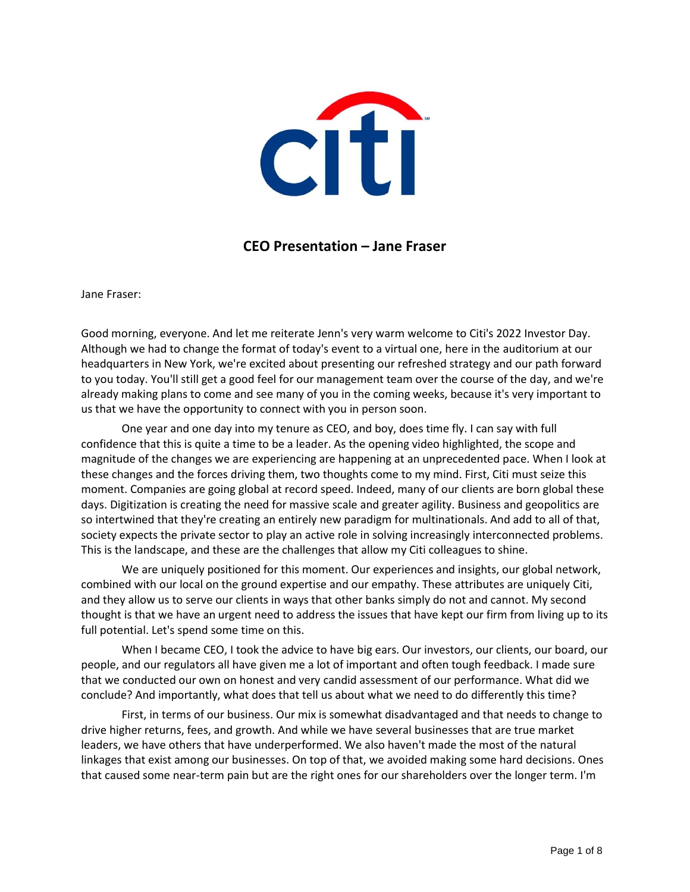

## **CEO Presentation – Jane Fraser**

Jane Fraser:

Good morning, everyone. And let me reiterate Jenn's very warm welcome to Citi's 2022 Investor Day. Although we had to change the format of today's event to a virtual one, here in the auditorium at our headquarters in New York, we're excited about presenting our refreshed strategy and our path forward to you today. You'll still get a good feel for our management team over the course of the day, and we're already making plans to come and see many of you in the coming weeks, because it's very important to us that we have the opportunity to connect with you in person soon.

One year and one day into my tenure as CEO, and boy, does time fly. I can say with full confidence that this is quite a time to be a leader. As the opening video highlighted, the scope and magnitude of the changes we are experiencing are happening at an unprecedented pace. When I look at these changes and the forces driving them, two thoughts come to my mind. First, Citi must seize this moment. Companies are going global at record speed. Indeed, many of our clients are born global these days. Digitization is creating the need for massive scale and greater agility. Business and geopolitics are so intertwined that they're creating an entirely new paradigm for multinationals. And add to all of that, society expects the private sector to play an active role in solving increasingly interconnected problems. This is the landscape, and these are the challenges that allow my Citi colleagues to shine.

We are uniquely positioned for this moment. Our experiences and insights, our global network, combined with our local on the ground expertise and our empathy. These attributes are uniquely Citi, and they allow us to serve our clients in ways that other banks simply do not and cannot. My second thought is that we have an urgent need to address the issues that have kept our firm from living up to its full potential. Let's spend some time on this.

When I became CEO, I took the advice to have big ears. Our investors, our clients, our board, our people, and our regulators all have given me a lot of important and often tough feedback. I made sure that we conducted our own on honest and very candid assessment of our performance. What did we conclude? And importantly, what does that tell us about what we need to do differently this time?

First, in terms of our business. Our mix is somewhat disadvantaged and that needs to change to drive higher returns, fees, and growth. And while we have several businesses that are true market leaders, we have others that have underperformed. We also haven't made the most of the natural linkages that exist among our businesses. On top of that, we avoided making some hard decisions. Ones that caused some near-term pain but are the right ones for our shareholders over the longer term. I'm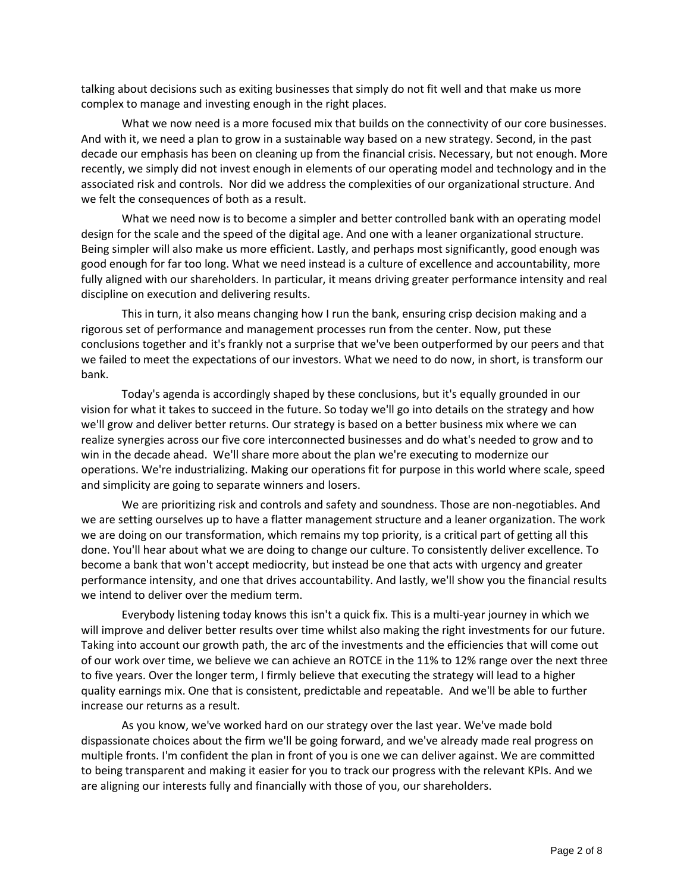talking about decisions such as exiting businesses that simply do not fit well and that make us more complex to manage and investing enough in the right places.

What we now need is a more focused mix that builds on the connectivity of our core businesses. And with it, we need a plan to grow in a sustainable way based on a new strategy. Second, in the past decade our emphasis has been on cleaning up from the financial crisis. Necessary, but not enough. More recently, we simply did not invest enough in elements of our operating model and technology and in the associated risk and controls. Nor did we address the complexities of our organizational structure. And we felt the consequences of both as a result.

What we need now is to become a simpler and better controlled bank with an operating model design for the scale and the speed of the digital age. And one with a leaner organizational structure. Being simpler will also make us more efficient. Lastly, and perhaps most significantly, good enough was good enough for far too long. What we need instead is a culture of excellence and accountability, more fully aligned with our shareholders. In particular, it means driving greater performance intensity and real discipline on execution and delivering results.

This in turn, it also means changing how I run the bank, ensuring crisp decision making and a rigorous set of performance and management processes run from the center. Now, put these conclusions together and it's frankly not a surprise that we've been outperformed by our peers and that we failed to meet the expectations of our investors. What we need to do now, in short, is transform our bank.

Today's agenda is accordingly shaped by these conclusions, but it's equally grounded in our vision for what it takes to succeed in the future. So today we'll go into details on the strategy and how we'll grow and deliver better returns. Our strategy is based on a better business mix where we can realize synergies across our five core interconnected businesses and do what's needed to grow and to win in the decade ahead. We'll share more about the plan we're executing to modernize our operations. We're industrializing. Making our operations fit for purpose in this world where scale, speed and simplicity are going to separate winners and losers.

We are prioritizing risk and controls and safety and soundness. Those are non-negotiables. And we are setting ourselves up to have a flatter management structure and a leaner organization. The work we are doing on our transformation, which remains my top priority, is a critical part of getting all this done. You'll hear about what we are doing to change our culture. To consistently deliver excellence. To become a bank that won't accept mediocrity, but instead be one that acts with urgency and greater performance intensity, and one that drives accountability. And lastly, we'll show you the financial results we intend to deliver over the medium term.

Everybody listening today knows this isn't a quick fix. This is a multi-year journey in which we will improve and deliver better results over time whilst also making the right investments for our future. Taking into account our growth path, the arc of the investments and the efficiencies that will come out of our work over time, we believe we can achieve an ROTCE in the 11% to 12% range over the next three to five years. Over the longer term, I firmly believe that executing the strategy will lead to a higher quality earnings mix. One that is consistent, predictable and repeatable. And we'll be able to further increase our returns as a result.

As you know, we've worked hard on our strategy over the last year. We've made bold dispassionate choices about the firm we'll be going forward, and we've already made real progress on multiple fronts. I'm confident the plan in front of you is one we can deliver against. We are committed to being transparent and making it easier for you to track our progress with the relevant KPIs. And we are aligning our interests fully and financially with those of you, our shareholders.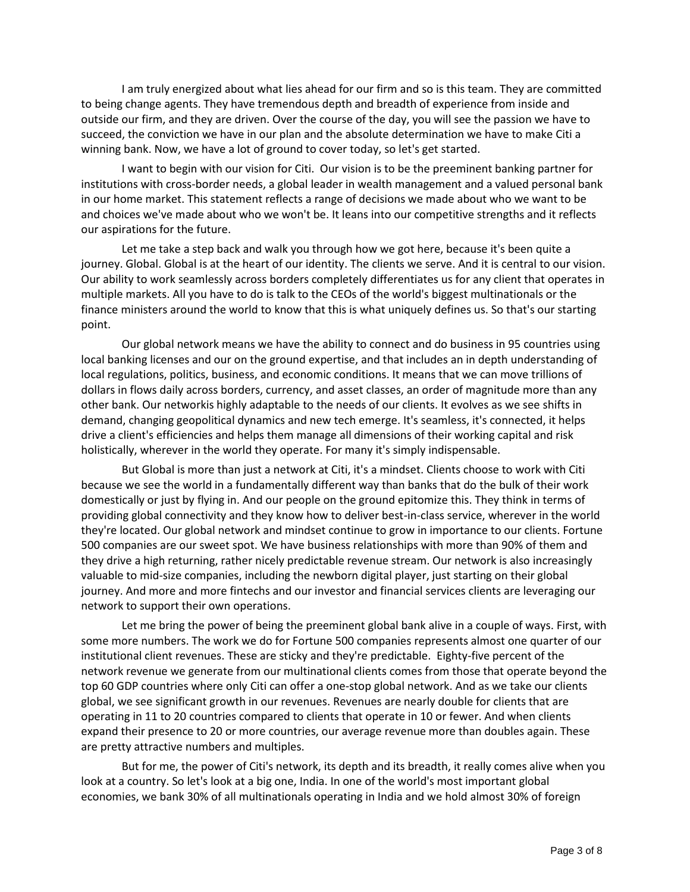I am truly energized about what lies ahead for our firm and so is this team. They are committed to being change agents. They have tremendous depth and breadth of experience from inside and outside our firm, and they are driven. Over the course of the day, you will see the passion we have to succeed, the conviction we have in our plan and the absolute determination we have to make Citi a winning bank. Now, we have a lot of ground to cover today, so let's get started.

I want to begin with our vision for Citi. Our vision is to be the preeminent banking partner for institutions with cross-border needs, a global leader in wealth management and a valued personal bank in our home market. This statement reflects a range of decisions we made about who we want to be and choices we've made about who we won't be. It leans into our competitive strengths and it reflects our aspirations for the future.

Let me take a step back and walk you through how we got here, because it's been quite a journey. Global. Global is at the heart of our identity. The clients we serve. And it is central to our vision. Our ability to work seamlessly across borders completely differentiates us for any client that operates in multiple markets. All you have to do is talk to the CEOs of the world's biggest multinationals or the finance ministers around the world to know that this is what uniquely defines us. So that's our starting point.

Our global network means we have the ability to connect and do business in 95 countries using local banking licenses and our on the ground expertise, and that includes an in depth understanding of local regulations, politics, business, and economic conditions. It means that we can move trillions of dollars in flows daily across borders, currency, and asset classes, an order of magnitude more than any other bank. Our networkis highly adaptable to the needs of our clients. It evolves as we see shifts in demand, changing geopolitical dynamics and new tech emerge. It's seamless, it's connected, it helps drive a client's efficiencies and helps them manage all dimensions of their working capital and risk holistically, wherever in the world they operate. For many it's simply indispensable.

But Global is more than just a network at Citi, it's a mindset. Clients choose to work with Citi because we see the world in a fundamentally different way than banks that do the bulk of their work domestically or just by flying in. And our people on the ground epitomize this. They think in terms of providing global connectivity and they know how to deliver best-in-class service, wherever in the world they're located. Our global network and mindset continue to grow in importance to our clients. Fortune 500 companies are our sweet spot. We have business relationships with more than 90% of them and they drive a high returning, rather nicely predictable revenue stream. Our network is also increasingly valuable to mid-size companies, including the newborn digital player, just starting on their global journey. And more and more fintechs and our investor and financial services clients are leveraging our network to support their own operations.

Let me bring the power of being the preeminent global bank alive in a couple of ways. First, with some more numbers. The work we do for Fortune 500 companies represents almost one quarter of our institutional client revenues. These are sticky and they're predictable. Eighty-five percent of the network revenue we generate from our multinational clients comes from those that operate beyond the top 60 GDP countries where only Citi can offer a one-stop global network. And as we take our clients global, we see significant growth in our revenues. Revenues are nearly double for clients that are operating in 11 to 20 countries compared to clients that operate in 10 or fewer. And when clients expand their presence to 20 or more countries, our average revenue more than doubles again. These are pretty attractive numbers and multiples.

But for me, the power of Citi's network, its depth and its breadth, it really comes alive when you look at a country. So let's look at a big one, India. In one of the world's most important global economies, we bank 30% of all multinationals operating in India and we hold almost 30% of foreign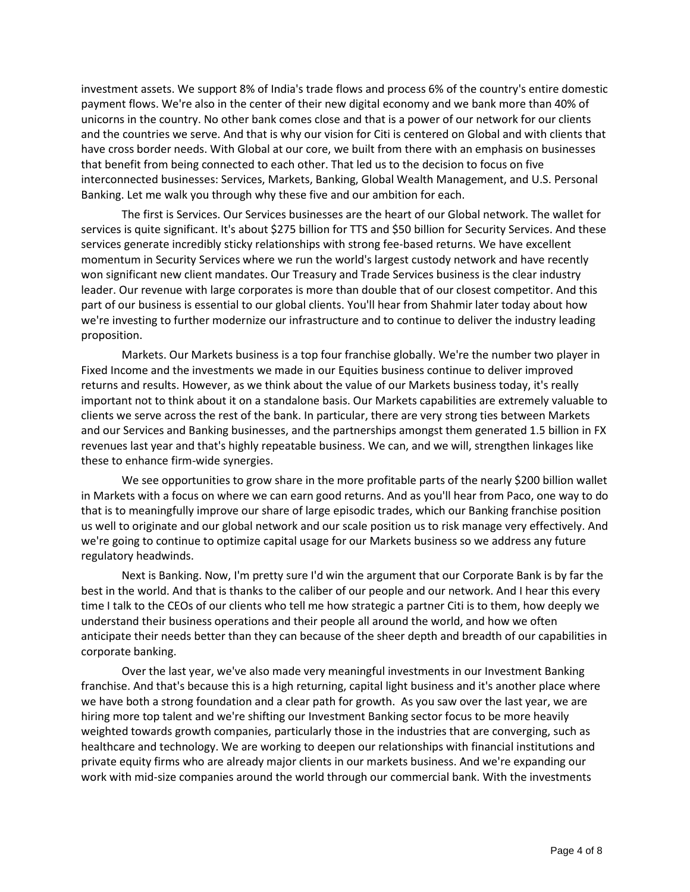investment assets. We support 8% of India's trade flows and process 6% of the country's entire domestic payment flows. We're also in the center of their new digital economy and we bank more than 40% of unicorns in the country. No other bank comes close and that is a power of our network for our clients and the countries we serve. And that is why our vision for Citi is centered on Global and with clients that have cross border needs. With Global at our core, we built from there with an emphasis on businesses that benefit from being connected to each other. That led us to the decision to focus on five interconnected businesses: Services, Markets, Banking, Global Wealth Management, and U.S. Personal Banking. Let me walk you through why these five and our ambition for each.

The first is Services. Our Services businesses are the heart of our Global network. The wallet for services is quite significant. It's about \$275 billion for TTS and \$50 billion for Security Services. And these services generate incredibly sticky relationships with strong fee-based returns. We have excellent momentum in Security Services where we run the world's largest custody network and have recently won significant new client mandates. Our Treasury and Trade Services business is the clear industry leader. Our revenue with large corporates is more than double that of our closest competitor. And this part of our business is essential to our global clients. You'll hear from Shahmir later today about how we're investing to further modernize our infrastructure and to continue to deliver the industry leading proposition.

Markets. Our Markets business is a top four franchise globally. We're the number two player in Fixed Income and the investments we made in our Equities business continue to deliver improved returns and results. However, as we think about the value of our Markets business today, it's really important not to think about it on a standalone basis. Our Markets capabilities are extremely valuable to clients we serve across the rest of the bank. In particular, there are very strong ties between Markets and our Services and Banking businesses, and the partnerships amongst them generated 1.5 billion in FX revenues last year and that's highly repeatable business. We can, and we will, strengthen linkages like these to enhance firm-wide synergies.

We see opportunities to grow share in the more profitable parts of the nearly \$200 billion wallet in Markets with a focus on where we can earn good returns. And as you'll hear from Paco, one way to do that is to meaningfully improve our share of large episodic trades, which our Banking franchise position us well to originate and our global network and our scale position us to risk manage very effectively. And we're going to continue to optimize capital usage for our Markets business so we address any future regulatory headwinds.

Next is Banking. Now, I'm pretty sure I'd win the argument that our Corporate Bank is by far the best in the world. And that is thanks to the caliber of our people and our network. And I hear this every time I talk to the CEOs of our clients who tell me how strategic a partner Citi is to them, how deeply we understand their business operations and their people all around the world, and how we often anticipate their needs better than they can because of the sheer depth and breadth of our capabilities in corporate banking.

Over the last year, we've also made very meaningful investments in our Investment Banking franchise. And that's because this is a high returning, capital light business and it's another place where we have both a strong foundation and a clear path for growth. As you saw over the last year, we are hiring more top talent and we're shifting our Investment Banking sector focus to be more heavily weighted towards growth companies, particularly those in the industries that are converging, such as healthcare and technology. We are working to deepen our relationships with financial institutions and private equity firms who are already major clients in our markets business. And we're expanding our work with mid-size companies around the world through our commercial bank. With the investments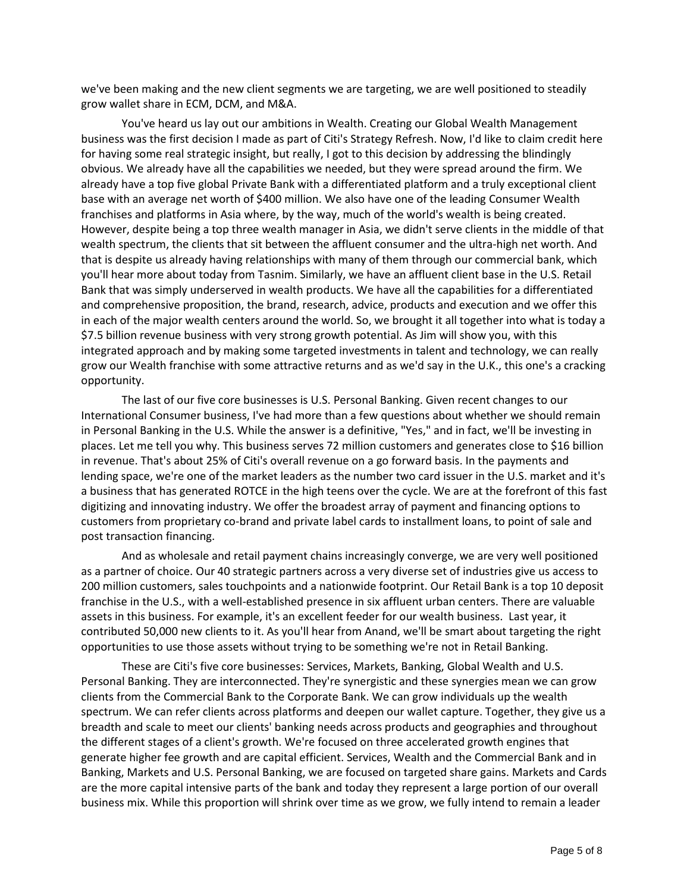we've been making and the new client segments we are targeting, we are well positioned to steadily grow wallet share in ECM, DCM, and M&A.

You've heard us lay out our ambitions in Wealth. Creating our Global Wealth Management business was the first decision I made as part of Citi's Strategy Refresh. Now, I'd like to claim credit here for having some real strategic insight, but really, I got to this decision by addressing the blindingly obvious. We already have all the capabilities we needed, but they were spread around the firm. We already have a top five global Private Bank with a differentiated platform and a truly exceptional client base with an average net worth of \$400 million. We also have one of the leading Consumer Wealth franchises and platforms in Asia where, by the way, much of the world's wealth is being created. However, despite being a top three wealth manager in Asia, we didn't serve clients in the middle of that wealth spectrum, the clients that sit between the affluent consumer and the ultra-high net worth. And that is despite us already having relationships with many of them through our commercial bank, which you'll hear more about today from Tasnim. Similarly, we have an affluent client base in the U.S. Retail Bank that was simply underserved in wealth products. We have all the capabilities for a differentiated and comprehensive proposition, the brand, research, advice, products and execution and we offer this in each of the major wealth centers around the world. So, we brought it all together into what is today a \$7.5 billion revenue business with very strong growth potential. As Jim will show you, with this integrated approach and by making some targeted investments in talent and technology, we can really grow our Wealth franchise with some attractive returns and as we'd say in the U.K., this one's a cracking opportunity.

The last of our five core businesses is U.S. Personal Banking. Given recent changes to our International Consumer business, I've had more than a few questions about whether we should remain in Personal Banking in the U.S. While the answer is a definitive, "Yes," and in fact, we'll be investing in places. Let me tell you why. This business serves 72 million customers and generates close to \$16 billion in revenue. That's about 25% of Citi's overall revenue on a go forward basis. In the payments and lending space, we're one of the market leaders as the number two card issuer in the U.S. market and it's a business that has generated ROTCE in the high teens over the cycle. We are at the forefront of this fast digitizing and innovating industry. We offer the broadest array of payment and financing options to customers from proprietary co-brand and private label cards to installment loans, to point of sale and post transaction financing.

And as wholesale and retail payment chains increasingly converge, we are very well positioned as a partner of choice. Our 40 strategic partners across a very diverse set of industries give us access to 200 million customers, sales touchpoints and a nationwide footprint. Our Retail Bank is a top 10 deposit franchise in the U.S., with a well-established presence in six affluent urban centers. There are valuable assets in this business. For example, it's an excellent feeder for our wealth business. Last year, it contributed 50,000 new clients to it. As you'll hear from Anand, we'll be smart about targeting the right opportunities to use those assets without trying to be something we're not in Retail Banking.

These are Citi's five core businesses: Services, Markets, Banking, Global Wealth and U.S. Personal Banking. They are interconnected. They're synergistic and these synergies mean we can grow clients from the Commercial Bank to the Corporate Bank. We can grow individuals up the wealth spectrum. We can refer clients across platforms and deepen our wallet capture. Together, they give us a breadth and scale to meet our clients' banking needs across products and geographies and throughout the different stages of a client's growth. We're focused on three accelerated growth engines that generate higher fee growth and are capital efficient. Services, Wealth and the Commercial Bank and in Banking, Markets and U.S. Personal Banking, we are focused on targeted share gains. Markets and Cards are the more capital intensive parts of the bank and today they represent a large portion of our overall business mix. While this proportion will shrink over time as we grow, we fully intend to remain a leader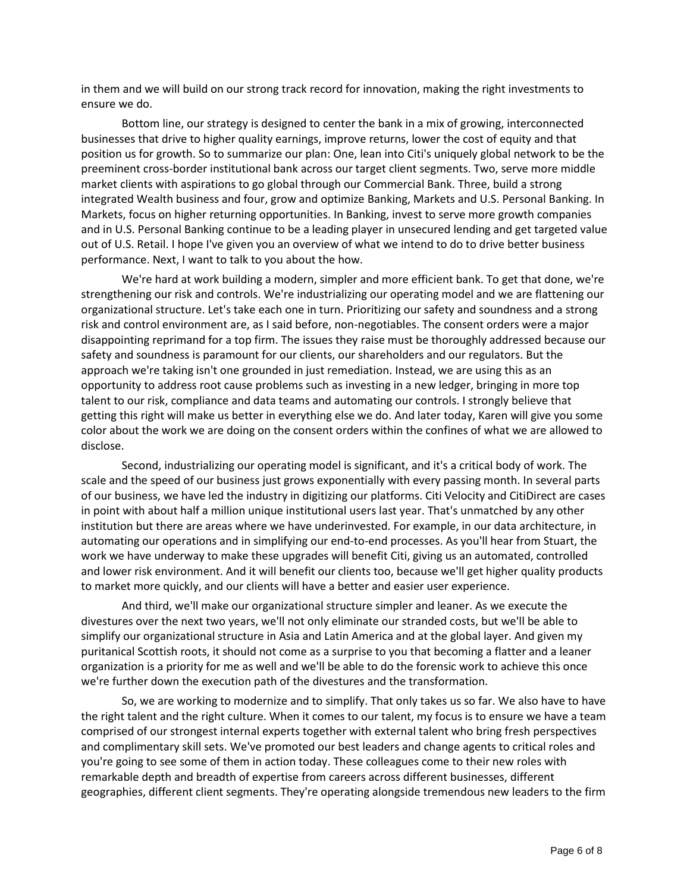in them and we will build on our strong track record for innovation, making the right investments to ensure we do.

Bottom line, our strategy is designed to center the bank in a mix of growing, interconnected businesses that drive to higher quality earnings, improve returns, lower the cost of equity and that position us for growth. So to summarize our plan: One, lean into Citi's uniquely global network to be the preeminent cross-border institutional bank across our target client segments. Two, serve more middle market clients with aspirations to go global through our Commercial Bank. Three, build a strong integrated Wealth business and four, grow and optimize Banking, Markets and U.S. Personal Banking. In Markets, focus on higher returning opportunities. In Banking, invest to serve more growth companies and in U.S. Personal Banking continue to be a leading player in unsecured lending and get targeted value out of U.S. Retail. I hope I've given you an overview of what we intend to do to drive better business performance. Next, I want to talk to you about the how.

We're hard at work building a modern, simpler and more efficient bank. To get that done, we're strengthening our risk and controls. We're industrializing our operating model and we are flattening our organizational structure. Let's take each one in turn. Prioritizing our safety and soundness and a strong risk and control environment are, as I said before, non-negotiables. The consent orders were a major disappointing reprimand for a top firm. The issues they raise must be thoroughly addressed because our safety and soundness is paramount for our clients, our shareholders and our regulators. But the approach we're taking isn't one grounded in just remediation. Instead, we are using this as an opportunity to address root cause problems such as investing in a new ledger, bringing in more top talent to our risk, compliance and data teams and automating our controls. I strongly believe that getting this right will make us better in everything else we do. And later today, Karen will give you some color about the work we are doing on the consent orders within the confines of what we are allowed to disclose.

Second, industrializing our operating model is significant, and it's a critical body of work. The scale and the speed of our business just grows exponentially with every passing month. In several parts of our business, we have led the industry in digitizing our platforms. Citi Velocity and CitiDirect are cases in point with about half a million unique institutional users last year. That's unmatched by any other institution but there are areas where we have underinvested. For example, in our data architecture, in automating our operations and in simplifying our end-to-end processes. As you'll hear from Stuart, the work we have underway to make these upgrades will benefit Citi, giving us an automated, controlled and lower risk environment. And it will benefit our clients too, because we'll get higher quality products to market more quickly, and our clients will have a better and easier user experience.

And third, we'll make our organizational structure simpler and leaner. As we execute the divestures over the next two years, we'll not only eliminate our stranded costs, but we'll be able to simplify our organizational structure in Asia and Latin America and at the global layer. And given my puritanical Scottish roots, it should not come as a surprise to you that becoming a flatter and a leaner organization is a priority for me as well and we'll be able to do the forensic work to achieve this once we're further down the execution path of the divestures and the transformation.

So, we are working to modernize and to simplify. That only takes us so far. We also have to have the right talent and the right culture. When it comes to our talent, my focus is to ensure we have a team comprised of our strongest internal experts together with external talent who bring fresh perspectives and complimentary skill sets. We've promoted our best leaders and change agents to critical roles and you're going to see some of them in action today. These colleagues come to their new roles with remarkable depth and breadth of expertise from careers across different businesses, different geographies, different client segments. They're operating alongside tremendous new leaders to the firm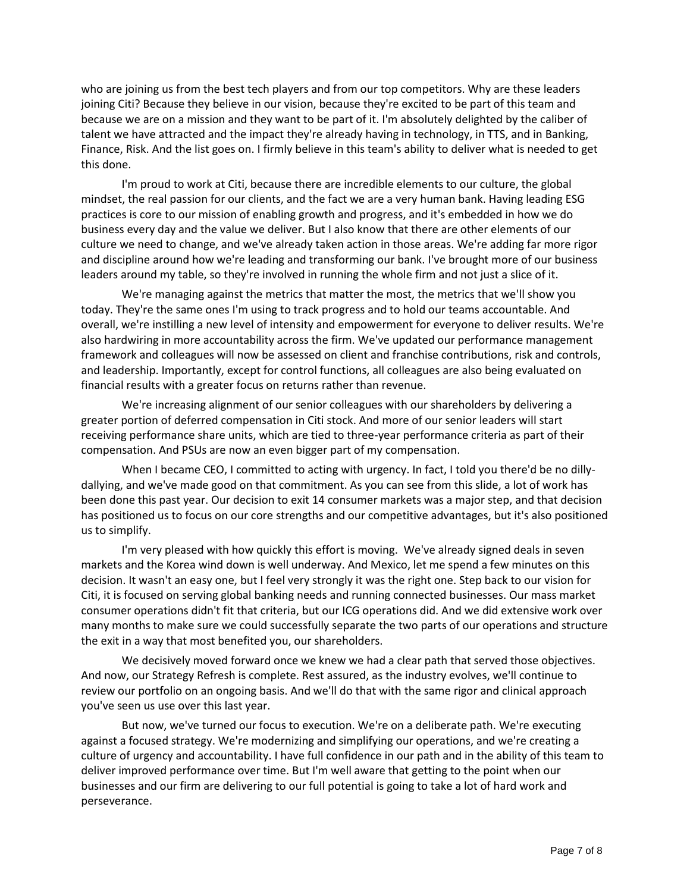who are joining us from the best tech players and from our top competitors. Why are these leaders joining Citi? Because they believe in our vision, because they're excited to be part of this team and because we are on a mission and they want to be part of it. I'm absolutely delighted by the caliber of talent we have attracted and the impact they're already having in technology, in TTS, and in Banking, Finance, Risk. And the list goes on. I firmly believe in this team's ability to deliver what is needed to get this done.

I'm proud to work at Citi, because there are incredible elements to our culture, the global mindset, the real passion for our clients, and the fact we are a very human bank. Having leading ESG practices is core to our mission of enabling growth and progress, and it's embedded in how we do business every day and the value we deliver. But I also know that there are other elements of our culture we need to change, and we've already taken action in those areas. We're adding far more rigor and discipline around how we're leading and transforming our bank. I've brought more of our business leaders around my table, so they're involved in running the whole firm and not just a slice of it.

We're managing against the metrics that matter the most, the metrics that we'll show you today. They're the same ones I'm using to track progress and to hold our teams accountable. And overall, we're instilling a new level of intensity and empowerment for everyone to deliver results. We're also hardwiring in more accountability across the firm. We've updated our performance management framework and colleagues will now be assessed on client and franchise contributions, risk and controls, and leadership. Importantly, except for control functions, all colleagues are also being evaluated on financial results with a greater focus on returns rather than revenue.

We're increasing alignment of our senior colleagues with our shareholders by delivering a greater portion of deferred compensation in Citi stock. And more of our senior leaders will start receiving performance share units, which are tied to three-year performance criteria as part of their compensation. And PSUs are now an even bigger part of my compensation.

When I became CEO, I committed to acting with urgency. In fact, I told you there'd be no dillydallying, and we've made good on that commitment. As you can see from this slide, a lot of work has been done this past year. Our decision to exit 14 consumer markets was a major step, and that decision has positioned us to focus on our core strengths and our competitive advantages, but it's also positioned us to simplify.

I'm very pleased with how quickly this effort is moving. We've already signed deals in seven markets and the Korea wind down is well underway. And Mexico, let me spend a few minutes on this decision. It wasn't an easy one, but I feel very strongly it was the right one. Step back to our vision for Citi, it is focused on serving global banking needs and running connected businesses. Our mass market consumer operations didn't fit that criteria, but our ICG operations did. And we did extensive work over many months to make sure we could successfully separate the two parts of our operations and structure the exit in a way that most benefited you, our shareholders.

We decisively moved forward once we knew we had a clear path that served those objectives. And now, our Strategy Refresh is complete. Rest assured, as the industry evolves, we'll continue to review our portfolio on an ongoing basis. And we'll do that with the same rigor and clinical approach you've seen us use over this last year.

But now, we've turned our focus to execution. We're on a deliberate path. We're executing against a focused strategy. We're modernizing and simplifying our operations, and we're creating a culture of urgency and accountability. I have full confidence in our path and in the ability of this team to deliver improved performance over time. But I'm well aware that getting to the point when our businesses and our firm are delivering to our full potential is going to take a lot of hard work and perseverance.